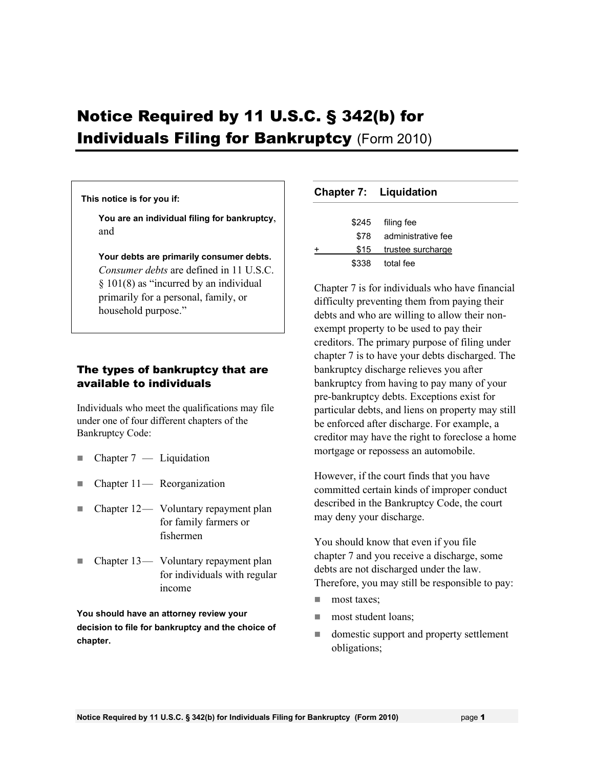# Notice Required by 11 U.S.C. § 342(b) for **Individuals Filing for Bankruptcy (Form 2010)**

#### **This notice is for you if:**

**You are an individual filing for bankruptcy**, and

**Your debts are primarily consumer debts.** *Consumer debts* are defined in 11 U.S.C. § 101(8) as "incurred by an individual primarily for a personal, family, or household purpose."

### The types of bankruptcy that are available to individuals

Individuals who meet the qualifications may file under one of four different chapters of the Bankruptcy Code:

- $\blacksquare$  Chapter 7 Liquidation
- $\blacksquare$  Chapter 11— Reorganization
- Chapter 12 Voluntary repayment plan for family farmers or fishermen
- Chapter 13— Voluntary repayment plan for individuals with regular income

**You should have an attorney review your decision to file for bankruptcy and the choice of chapter.** 

#### **Chapter 7: Liquidation**

|   |       | \$245 filing fee       |
|---|-------|------------------------|
|   | \$78  | administrative fee     |
| + |       | \$15 trustee surcharge |
|   | \$338 | total fee              |
|   |       |                        |

Chapter 7 is for individuals who have financial difficulty preventing them from paying their debts and who are willing to allow their nonexempt property to be used to pay their creditors. The primary purpose of filing under chapter 7 is to have your debts discharged. The bankruptcy discharge relieves you after bankruptcy from having to pay many of your pre-bankruptcy debts. Exceptions exist for particular debts, and liens on property may still be enforced after discharge. For example, a creditor may have the right to foreclose a home mortgage or repossess an automobile.

However, if the court finds that you have committed certain kinds of improper conduct described in the Bankruptcy Code, the court may deny your discharge.

You should know that even if you file chapter 7 and you receive a discharge, some debts are not discharged under the law. Therefore, you may still be responsible to pay:

- **most taxes:**
- **most student loans:**
- domestic support and property settlement obligations;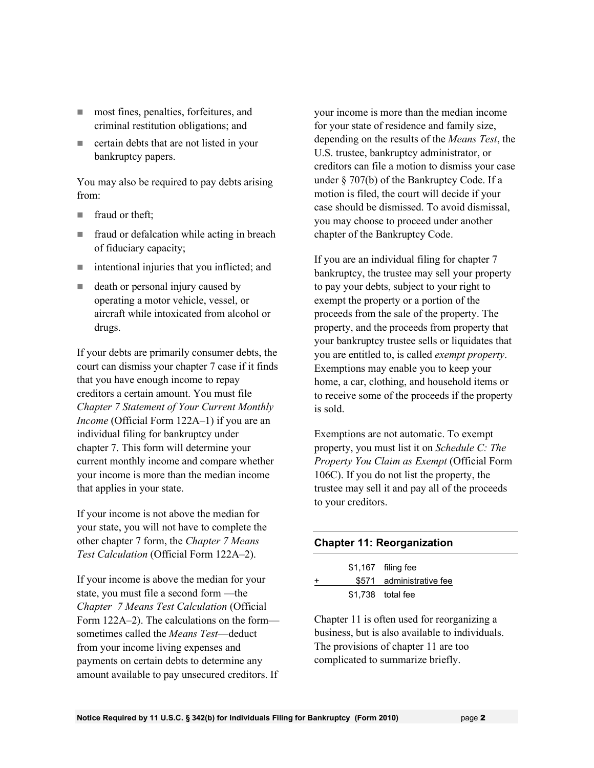- most fines, penalties, forfeitures, and criminal restitution obligations; and
- certain debts that are not listed in your bankruptcy papers.

You may also be required to pay debts arising from:

- $\blacksquare$  fraud or theft:
- **fraud or defalcation while acting in breach** of fiduciary capacity;
- intentional injuries that you inflicted; and
- death or personal injury caused by operating a motor vehicle, vessel, or aircraft while intoxicated from alcohol or drugs.

If your debts are primarily consumer debts, the court can dismiss your chapter 7 case if it finds that you have enough income to repay creditors a certain amount. You must file *Chapter 7 Statement of Your Current Monthly Income* (Official Form 122A–1) if you are an individual filing for bankruptcy under chapter 7. This form will determine your current monthly income and compare whether your income is more than the median income that applies in your state.

If your income is not above the median for your state, you will not have to complete the other chapter 7 form, the *Chapter 7 Means Test Calculation* (Official Form 122A–2).

If your income is above the median for your state, you must file a second form —the *Chapter 7 Means Test Calculation* (Official Form 122A–2). The calculations on the form sometimes called the *Means Test*—deduct from your income living expenses and payments on certain debts to determine any amount available to pay unsecured creditors. If

your income is more than the median income for your state of residence and family size, depending on the results of the *Means Test*, the U.S. trustee, bankruptcy administrator, or creditors can file a motion to dismiss your case under § 707(b) of the Bankruptcy Code. If a motion is filed, the court will decide if your case should be dismissed. To avoid dismissal, you may choose to proceed under another chapter of the Bankruptcy Code.

If you are an individual filing for chapter 7 bankruptcy, the trustee may sell your property to pay your debts, subject to your right to exempt the property or a portion of the proceeds from the sale of the property. The property, and the proceeds from property that your bankruptcy trustee sells or liquidates that you are entitled to, is called *exempt property*. Exemptions may enable you to keep your home, a car, clothing, and household items or to receive some of the proceeds if the property is sold.

Exemptions are not automatic. To exempt property, you must list it on *Schedule C: The Property You Claim as Exempt* (Official Form 106C). If you do not list the property, the trustee may sell it and pay all of the proceeds to your creditors.

#### **Chapter 11: Reorganization**

|  | \$1,167 filing fee       |
|--|--------------------------|
|  | \$571 administrative fee |
|  | \$1.738 total fee        |

Chapter 11 is often used for reorganizing a business, but is also available to individuals. The provisions of chapter 11 are too complicated to summarize briefly.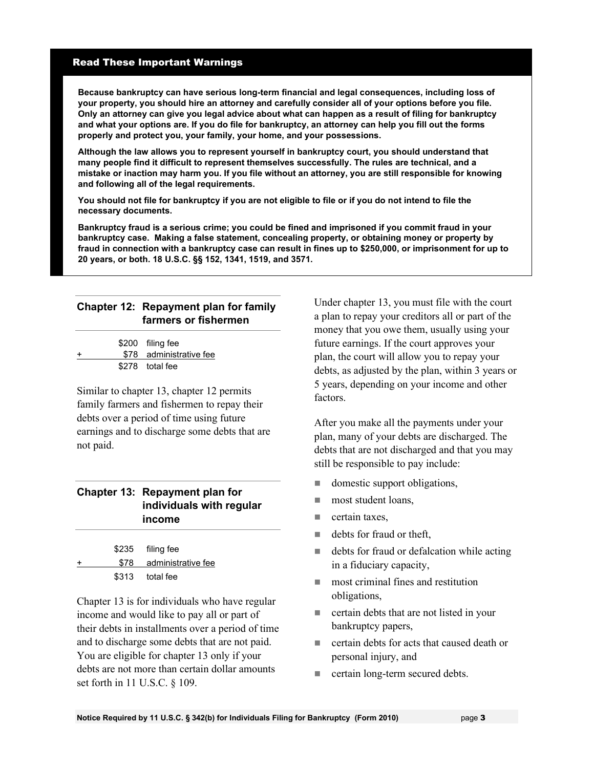#### Read These Important Warnings

**Because bankruptcy can have serious long-term financial and legal consequences, including loss of your property, you should hire an attorney and carefully consider all of your options before you file. Only an attorney can give you legal advice about what can happen as a result of filing for bankruptcy and what your options are. If you do file for bankruptcy, an attorney can help you fill out the forms properly and protect you, your family, your home, and your possessions.** 

**Although the law allows you to represent yourself in bankruptcy court, you should understand that many people find it difficult to represent themselves successfully. The rules are technical, and a mistake or inaction may harm you. If you file without an attorney, you are still responsible for knowing and following all of the legal requirements.** 

**You should not file for bankruptcy if you are not eligible to file or if you do not intend to file the necessary documents.**

**Bankruptcy fraud is a serious crime; you could be fined and imprisoned if you commit fraud in your bankruptcy case. Making a false statement, concealing property, or obtaining money or property by fraud in connection with a bankruptcy case can result in fines up to \$250,000, or imprisonment for up to 20 years, or both. 18 U.S.C. §§ 152, 1341, 1519, and 3571.**

### **Chapter 12: Repayment plan for family farmers or fishermen**

|   | \$200 filing fee        |
|---|-------------------------|
| ÷ | \$78 administrative fee |
|   | \$278 total fee         |

Similar to chapter 13, chapter 12 permits family farmers and fishermen to repay their debts over a period of time using future earnings and to discharge some debts that are not paid.

#### **Chapter 13: Repayment plan for individuals with regular income**

|       | \$235 filing fee        |
|-------|-------------------------|
|       | \$78 administrative fee |
| \$313 | total fee               |

Chapter 13 is for individuals who have regular income and would like to pay all or part of their debts in installments over a period of time and to discharge some debts that are not paid. You are eligible for chapter 13 only if your debts are not more than certain dollar amounts set forth in 11 U.S.C. § 109.

Under chapter 13, you must file with the court a plan to repay your creditors all or part of the money that you owe them, usually using your future earnings. If the court approves your plan, the court will allow you to repay your debts, as adjusted by the plan, within 3 years or 5 years, depending on your income and other factors.

After you make all the payments under your plan, many of your debts are discharged. The debts that are not discharged and that you may still be responsible to pay include:

- domestic support obligations,
- **most student loans,**
- $\blacksquare$  certain taxes.
- debts for fraud or theft,
- debts for fraud or defalcation while acting in a fiduciary capacity,
- **most criminal fines and restitution** obligations,
- **EXECUTE:** certain debts that are not listed in your bankruptcy papers,
- **EXECUTE:** certain debts for acts that caused death or personal injury, and
- certain long-term secured debts.